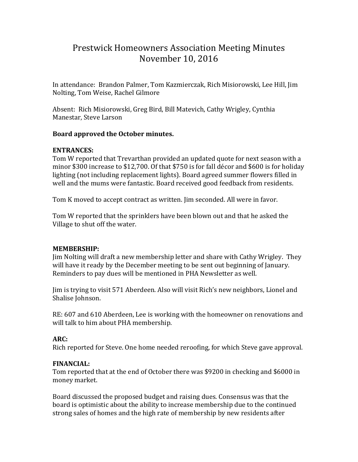# Prestwick Homeowners Association Meeting Minutes November 10, 2016

In attendance: Brandon Palmer, Tom Kazmierczak, Rich Misiorowski, Lee Hill, Jim Nolting, Tom Weise, Rachel Gilmore

Absent: Rich Misiorowski, Greg Bird, Bill Matevich, Cathy Wrigley, Cynthia Manestar, Steve Larson

#### **Board approved the October minutes.**

### **ENTRANCES:**

Tom W reported that Trevarthan provided an updated quote for next season with a minor \$300 increase to \$12,700. Of that \$750 is for fall décor and \$600 is for holiday lighting (not including replacement lights). Board agreed summer flowers filled in well and the mums were fantastic. Board received good feedback from residents.

Tom K moved to accept contract as written. Jim seconded. All were in favor.

Tom W reported that the sprinklers have been blown out and that he asked the Village to shut off the water.

#### **MEMBERSHIP:**

Jim Nolting will draft a new membership letter and share with Cathy Wrigley. They will have it ready by the December meeting to be sent out beginning of January. Reminders to pay dues will be mentioned in PHA Newsletter as well.

Jim is trying to visit 571 Aberdeen. Also will visit Rich's new neighbors, Lionel and Shalise Johnson.

RE: 607 and 610 Aberdeen, Lee is working with the homeowner on renovations and will talk to him about PHA membership.

## **ARC:**

Rich reported for Steve. One home needed reroofing, for which Steve gave approval.

## **FINANCIAL:**

Tom reported that at the end of October there was \$9200 in checking and \$6000 in money market.

Board discussed the proposed budget and raising dues. Consensus was that the board is optimistic about the ability to increase membership due to the continued strong sales of homes and the high rate of membership by new residents after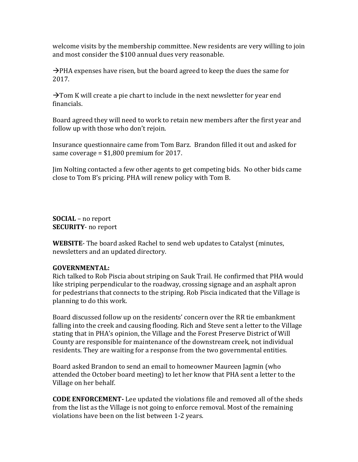welcome visits by the membership committee. New residents are very willing to join and most consider the \$100 annual dues very reasonable.

 $\rightarrow$ PHA expenses have risen, but the board agreed to keep the dues the same for 2017.

 $\rightarrow$  Tom K will create a pie chart to include in the next newsletter for year end financials.

Board agreed they will need to work to retain new members after the first year and follow up with those who don't rejoin.

Insurance questionnaire came from Tom Barz. Brandon filled it out and asked for same coverage = \$1,800 premium for 2017.

Jim Nolting contacted a few other agents to get competing bids. No other bids came close to Tom B's pricing. PHA will renew policy with Tom B.

**SOCIAL** – no report **SECURITY**- no report

**WEBSITE**- The board asked Rachel to send web updates to Catalyst (minutes, newsletters and an updated directory.

#### **GOVERNMENTAL:**

Rich talked to Rob Piscia about striping on Sauk Trail. He confirmed that PHA would like striping perpendicular to the roadway, crossing signage and an asphalt apron for pedestrians that connects to the striping. Rob Piscia indicated that the Village is planning to do this work.

Board discussed follow up on the residents' concern over the RR tie embankment falling into the creek and causing flooding. Rich and Steve sent a letter to the Village stating that in PHA's opinion, the Village and the Forest Preserve District of Will County are responsible for maintenance of the downstream creek, not individual residents. They are waiting for a response from the two governmental entities.

Board asked Brandon to send an email to homeowner Maureen Jagmin (who attended the October board meeting) to let her know that PHA sent a letter to the Village on her behalf.

**CODE ENFORCEMENT-** Lee updated the violations file and removed all of the sheds from the list as the Village is not going to enforce removal. Most of the remaining violations have been on the list between 1-2 years.